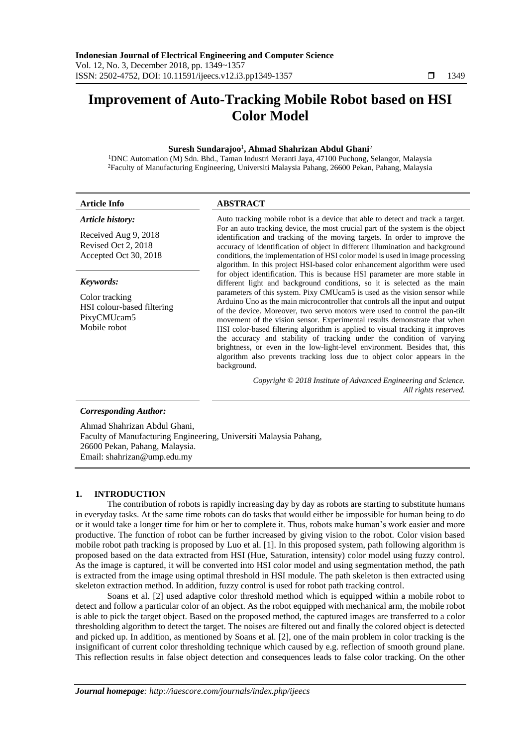# **Improvement of Auto-Tracking Mobile Robot based on HSI Color Model**

### **Suresh Sundarajoo**<sup>1</sup> **, Ahmad Shahrizan Abdul Ghani**<sup>2</sup>

<sup>1</sup>DNC Automation (M) Sdn. Bhd., Taman Industri Meranti Jaya, 47100 Puchong, Selangor, Malaysia <sup>2</sup>Faculty of Manufacturing Engineering, Universiti Malaysia Pahang, 26600 Pekan, Pahang, Malaysia

| Auto tracking mobile robot is a device that able to detect and track a target.<br>For an auto tracking device, the most crucial part of the system is the object<br>identification and tracking of the moving targets. In order to improve the<br>accuracy of identification of object in different illumination and background<br>conditions, the implementation of HSI color model is used in image processing<br>algorithm. In this project HSI-based color enhancement algorithm were used<br>for object identification. This is because HSI parameter are more stable in<br>different light and background conditions, so it is selected as the main                                                                               |
|-----------------------------------------------------------------------------------------------------------------------------------------------------------------------------------------------------------------------------------------------------------------------------------------------------------------------------------------------------------------------------------------------------------------------------------------------------------------------------------------------------------------------------------------------------------------------------------------------------------------------------------------------------------------------------------------------------------------------------------------|
|                                                                                                                                                                                                                                                                                                                                                                                                                                                                                                                                                                                                                                                                                                                                         |
| parameters of this system. Pixy CMUcam5 is used as the vision sensor while<br>Arduino Uno as the main microcontroller that controls all the input and output<br>of the device. Moreover, two servo motors were used to control the pan-tilt<br>movement of the vision sensor. Experimental results demonstrate that when<br>HSI color-based filtering algorithm is applied to visual tracking it improves<br>the accuracy and stability of tracking under the condition of varying<br>brightness, or even in the low-light-level environment. Besides that, this<br>algorithm also prevents tracking loss due to object color appears in the<br>Copyright © 2018 Institute of Advanced Engineering and Science.<br>All rights reserved. |
|                                                                                                                                                                                                                                                                                                                                                                                                                                                                                                                                                                                                                                                                                                                                         |

### *Corresponding Author:*

Ahmad Shahrizan Abdul Ghani, Faculty of Manufacturing Engineering, Universiti Malaysia Pahang, 26600 Pekan, Pahang, Malaysia. Email: shahrizan@ump.edu.my

# **1. INTRODUCTION**

The contribution of robots is rapidly increasing day by day as robots are starting to substitute humans in everyday tasks. At the same time robots can do tasks that would either be impossible for human being to do or it would take a longer time for him or her to complete it. Thus, robots make human's work easier and more productive. The function of robot can be further increased by giving vision to the robot. Color vision based mobile robot path tracking is proposed by Luo et al. [1]. In this proposed system, path following algorithm is proposed based on the data extracted from HSI (Hue, Saturation, intensity) color model using fuzzy control. As the image is captured, it will be converted into HSI color model and using segmentation method, the path is extracted from the image using optimal threshold in HSI module. The path skeleton is then extracted using skeleton extraction method. In addition, fuzzy control is used for robot path tracking control.

Soans et al. [2] used adaptive color threshold method which is equipped within a mobile robot to detect and follow a particular color of an object. As the robot equipped with mechanical arm, the mobile robot is able to pick the target object. Based on the proposed method, the captured images are transferred to a color thresholding algorithm to detect the target. The noises are filtered out and finally the colored object is detected and picked up. In addition, as mentioned by Soans et al. [2], one of the main problem in color tracking is the insignificant of current color thresholding technique which caused by e.g. reflection of smooth ground plane. This reflection results in false object detection and consequences leads to false color tracking. On the other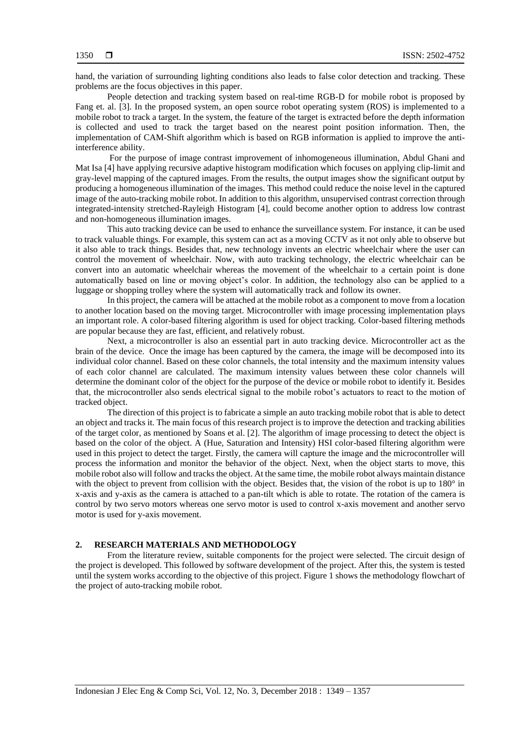hand, the variation of surrounding lighting conditions also leads to false color detection and tracking. These problems are the focus objectives in this paper.

People detection and tracking system based on real-time RGB-D for mobile robot is proposed by Fang et. al. [3]. In the proposed system, an open source robot operating system (ROS) is implemented to a mobile robot to track a target. In the system, the feature of the target is extracted before the depth information is collected and used to track the target based on the nearest point position information. Then, the implementation of CAM-Shift algorithm which is based on RGB information is applied to improve the antiinterference ability.

For the purpose of image contrast improvement of inhomogeneous illumination, Abdul Ghani and Mat Isa [4] have applying recursive adaptive histogram modification which focuses on applying clip-limit and gray-level mapping of the captured images. From the results, the output images show the significant output by producing a homogeneous illumination of the images. This method could reduce the noise level in the captured image of the auto-tracking mobile robot. In addition to this algorithm, unsupervised contrast correction through integrated-intensity stretched-Rayleigh Histogram [4], could become another option to address low contrast and non-homogeneous illumination images.

This auto tracking device can be used to enhance the surveillance system. For instance, it can be used to track valuable things. For example, this system can act as a moving CCTV as it not only able to observe but it also able to track things. Besides that, new technology invents an electric wheelchair where the user can control the movement of wheelchair. Now, with auto tracking technology, the electric wheelchair can be convert into an automatic wheelchair whereas the movement of the wheelchair to a certain point is done automatically based on line or moving object's color. In addition, the technology also can be applied to a luggage or shopping trolley where the system will automatically track and follow its owner.

In this project, the camera will be attached at the mobile robot as a component to move from a location to another location based on the moving target. Microcontroller with image processing implementation plays an important role. A color-based filtering algorithm is used for object tracking. Color-based filtering methods are popular because they are fast, efficient, and relatively robust.

Next, a microcontroller is also an essential part in auto tracking device. Microcontroller act as the brain of the device. Once the image has been captured by the camera, the image will be decomposed into its individual color channel. Based on these color channels, the total intensity and the maximum intensity values of each color channel are calculated. The maximum intensity values between these color channels will determine the dominant color of the object for the purpose of the device or mobile robot to identify it. Besides that, the microcontroller also sends electrical signal to the mobile robot's actuators to react to the motion of tracked object.

The direction of this project is to fabricate a simple an auto tracking mobile robot that is able to detect an object and tracks it. The main focus of this research project is to improve the detection and tracking abilities of the target color, as mentioned by Soans et al. [2]. The algorithm of image processing to detect the object is based on the color of the object. A (Hue, Saturation and Intensity) HSI color-based filtering algorithm were used in this project to detect the target. Firstly, the camera will capture the image and the microcontroller will process the information and monitor the behavior of the object. Next, when the object starts to move, this mobile robot also will follow and tracks the object. At the same time, the mobile robot always maintain distance with the object to prevent from collision with the object. Besides that, the vision of the robot is up to 180° in x-axis and y-axis as the camera is attached to a pan-tilt which is able to rotate. The rotation of the camera is control by two servo motors whereas one servo motor is used to control x-axis movement and another servo motor is used for y-axis movement.

#### **2. RESEARCH MATERIALS AND METHODOLOGY**

From the literature review, suitable components for the project were selected. The circuit design of the project is developed. This followed by software development of the project. After this, the system is tested until the system works according to the objective of this project. Figure 1 shows the methodology flowchart of the project of auto-tracking mobile robot.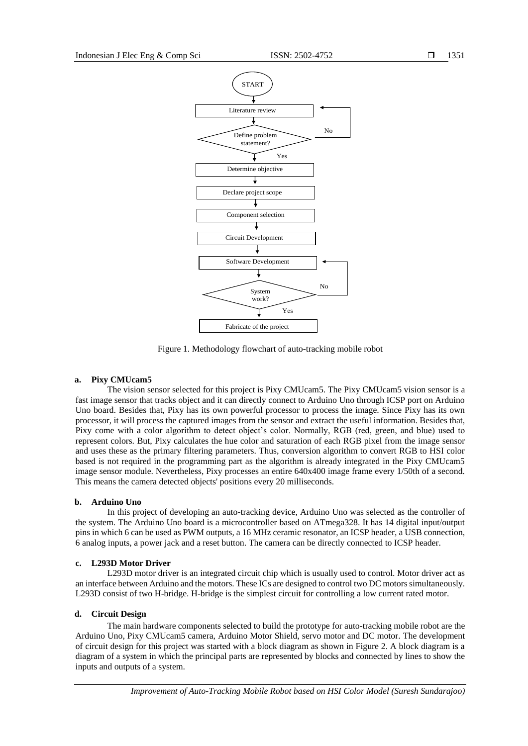

Figure 1. Methodology flowchart of auto-tracking mobile robot

### **a. Pixy CMUcam5**

The vision sensor selected for this project is Pixy CMUcam5. The Pixy CMUcam5 vision sensor is a fast image sensor that tracks object and it can directly connect to Arduino Uno through ICSP port on Arduino Uno board. Besides that, Pixy has its own powerful processor to process the image. Since Pixy has its own processor, it will process the captured images from the sensor and extract the useful information. Besides that, Pixy come with a color algorithm to detect object's color. Normally, RGB (red, green, and blue) used to represent colors. But, Pixy calculates the hue color and saturation of each RGB pixel from the image sensor and uses these as the primary filtering parameters. Thus, conversion algorithm to convert RGB to HSI color based is not required in the programming part as the algorithm is already integrated in the Pixy CMUcam5 image sensor module. Nevertheless, Pixy processes an entire 640x400 image frame every 1/50th of a second. This means the camera detected objects' positions every 20 milliseconds.

### **b. Arduino Uno**

In this project of developing an auto-tracking device, Arduino Uno was selected as the controller of the system. The Arduino Uno board is a microcontroller based on ATmega328. It has 14 digital input/output pins in which 6 can be used as PWM outputs, a 16 MHz ceramic resonator, an ICSP header, a USB connection, 6 analog inputs, a power jack and a reset button. The camera can be directly connected to ICSP header.

### **c. L293D Motor Driver**

L293D motor driver is an integrated circuit chip which is usually used to control. Motor driver act as an interface between Arduino and the motors. These ICs are designed to control two DC motors simultaneously. L293D consist of two H-bridge. H-bridge is the simplest circuit for controlling a low current rated motor.

### **d. Circuit Design**

The main hardware components selected to build the prototype for auto-tracking mobile robot are the Arduino Uno, Pixy CMUcam5 camera, Arduino Motor Shield, servo motor and DC motor. The development of circuit design for this project was started with a block diagram as shown in Figure 2. A block diagram is a diagram of a system in which the principal parts are represented by blocks and connected by lines to show the inputs and outputs of a system.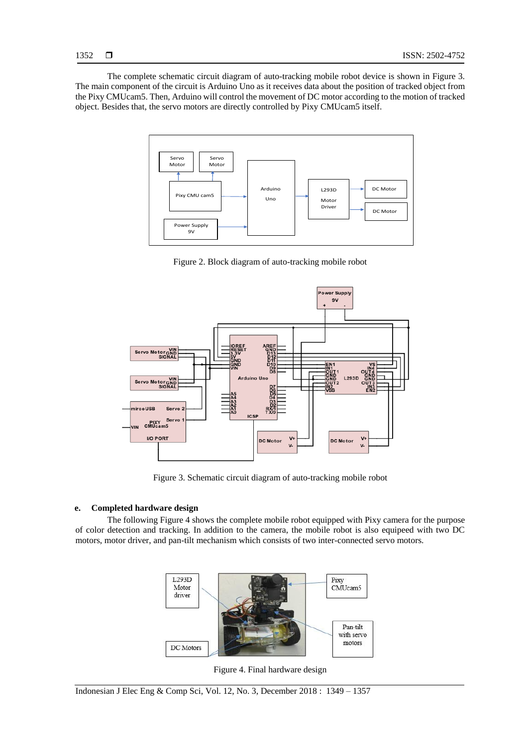The complete schematic circuit diagram of auto-tracking mobile robot device is shown in Figure 3. The main component of the circuit is Arduino Uno as it receives data about the position of tracked object from the Pixy CMUcam5. Then, Arduino will control the movement of DC motor according to the motion of tracked object. Besides that, the servo motors are directly controlled by Pixy CMUcam5 itself.



Figure 2. Block diagram of auto-tracking mobile robot



Figure 3. Schematic circuit diagram of auto-tracking mobile robot

# **e. Completed hardware design**

The following Figure 4 shows the complete mobile robot equipped with Pixy camera for the purpose of color detection and tracking. In addition to the camera, the mobile robot is also equipeed with two DC motors, motor driver, and pan-tilt mechanism which consists of two inter-connected servo motors.



Figure 4. Final hardware design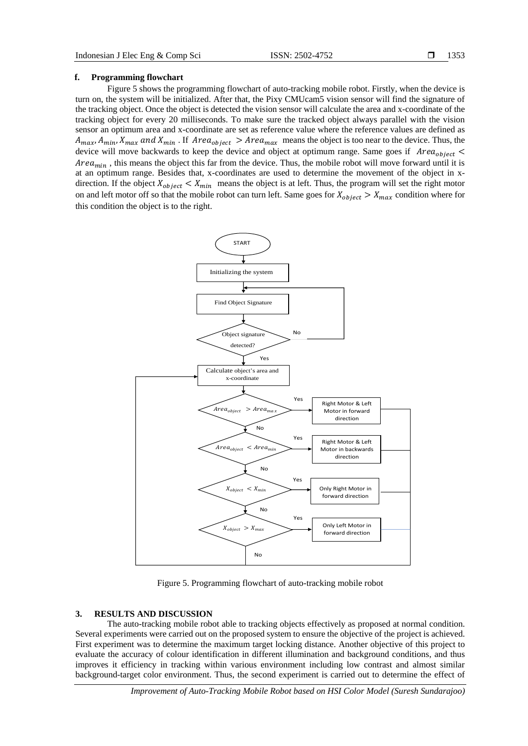### **f. Programming flowchart**

Figure 5 shows the programming flowchart of auto-tracking mobile robot. Firstly, when the device is turn on, the system will be initialized. After that, the Pixy CMUcam5 vision sensor will find the signature of the tracking object. Once the object is detected the vision sensor will calculate the area and x-coordinate of the tracking object for every 20 milliseconds. To make sure the tracked object always parallel with the vision sensor an optimum area and x-coordinate are set as reference value where the reference values are defined as  $A_{max}$ ,  $A_{min}$ ,  $X_{max}$  and  $X_{min}$ . If  $Area_{object} > Area_{max}$  means the object is too near to the device. Thus, the device will move backwards to keep the device and object at optimum range. Same goes if  $Area_{object}$  $Area_{min}$ , this means the object this far from the device. Thus, the mobile robot will move forward until it is at an optimum range. Besides that, x-coordinates are used to determine the movement of the object in xdirection. If the object  $X_{object} < X_{min}$  means the object is at left. Thus, the program will set the right motor on and left motor off so that the mobile robot can turn left. Same goes for  $X_{object} > X_{max}$  condition where for this condition the object is to the right.



Figure 5. Programming flowchart of auto-tracking mobile robot

### **3. RESULTS AND DISCUSSION**

The auto-tracking mobile robot able to tracking objects effectively as proposed at normal condition. Several experiments were carried out on the proposed system to ensure the objective of the project is achieved. First experiment was to determine the maximum target locking distance. Another objective of this project to evaluate the accuracy of colour identification in different illumination and background conditions, and thus improves it efficiency in tracking within various environment including low contrast and almost similar background-target color environment. Thus, the second experiment is carried out to determine the effect of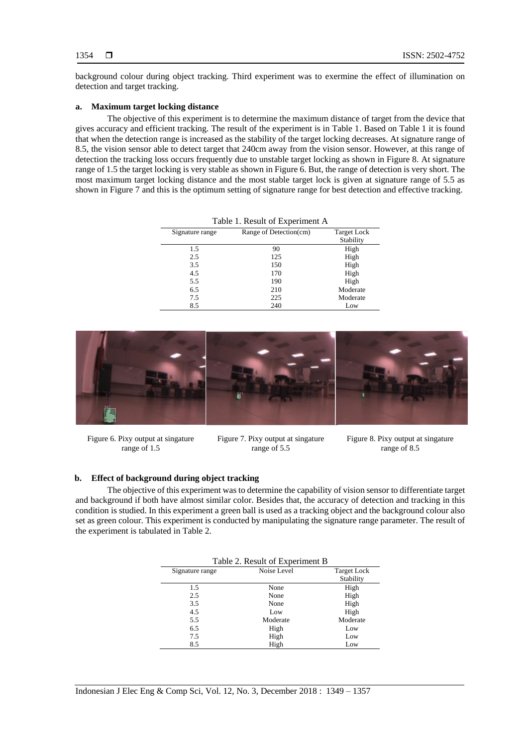background colour during object tracking. Third experiment was to exermine the effect of illumination on detection and target tracking.

### **a. Maximum target locking distance**

The objective of this experiment is to determine the maximum distance of target from the device that gives accuracy and efficient tracking. The result of the experiment is in Table 1. Based on Table 1 it is found that when the detection range is increased as the stability of the target locking decreases. At signature range of 8.5, the vision sensor able to detect target that 240cm away from the vision sensor. However, at this range of detection the tracking loss occurs frequently due to unstable target locking as shown in Figure 8. At signature range of 1.5 the target locking is very stable as shown in Figure 6. But, the range of detection is very short. The most maximum target locking distance and the most stable target lock is given at signature range of 5.5 as shown in Figure 7 and this is the optimum setting of signature range for best detection and effective tracking.

| Table 1. Result of Experiment A |                        |                                 |  |
|---------------------------------|------------------------|---------------------------------|--|
| Signature range                 | Range of Detection(cm) | <b>Target Lock</b><br>Stability |  |
| 1.5                             | 90                     | High                            |  |
| 2.5                             | 125                    | High                            |  |
| 3.5                             | 150                    | High                            |  |
| 4.5                             | 170                    | High                            |  |
| 5.5                             | 190                    | High                            |  |
| 6.5                             | 210                    | Moderate                        |  |
| 7.5                             | 225                    | Moderate                        |  |
| 8.5                             | 240                    | Low                             |  |



Figure 6. Pixy output at singature range of 1.5

Figure 7. Pixy output at singature range of 5.5

Figure 8. Pixy output at singature range of 8.5

# **b. Effect of background during object tracking**

The objective of this experiment was to determine the capability of vision sensor to differentiate target and background if both have almost similar color. Besides that, the accuracy of detection and tracking in this condition is studied. In this experiment a green ball is used as a tracking object and the background colour also set as green colour. This experiment is conducted by manipulating the signature range parameter. The result of the experiment is tabulated in Table 2.

| Table 2. Result of Experiment B |             |                    |  |
|---------------------------------|-------------|--------------------|--|
| Signature range                 | Noise Level | <b>Target Lock</b> |  |
|                                 |             | Stability          |  |
| 1.5                             | None        | High               |  |
| 2.5                             | None        | High               |  |
| 3.5                             | None        | High               |  |
| 4.5                             | Low         | High               |  |
| 5.5                             | Moderate    | Moderate           |  |
| 6.5                             | High        | Low                |  |
| 7.5                             | High        | Low                |  |
| 8.5                             | High        | Low                |  |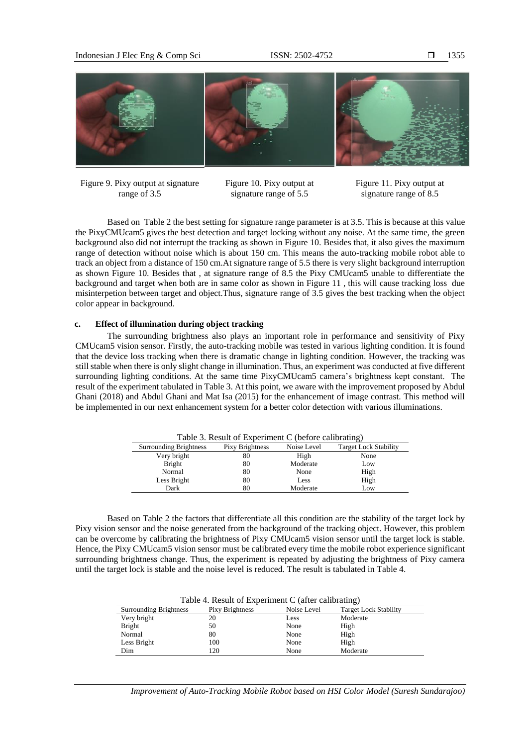

Figure 9. Pixy output at signature range of 3.5

Figure 10. Pixy output at signature range of 5.5

Figure 11. Pixy output at signature range of 8.5

Based on Table 2 the best setting for signature range parameter is at 3.5. This is because at this value the PixyCMUcam5 gives the best detection and target locking without any noise. At the same time, the green background also did not interrupt the tracking as shown in Figure 10. Besides that, it also gives the maximum range of detection without noise which is about 150 cm. This means the auto-tracking mobile robot able to track an object from a distance of 150 cm.At signature range of 5.5 there is very slight background interruption as shown Figure 10. Besides that , at signature range of 8.5 the Pixy CMUcam5 unable to differentiate the background and target when both are in same color as shown in Figure 11 , this will cause tracking loss due misinterpetion between target and object.Thus, signature range of 3.5 gives the best tracking when the object color appear in background.

# **c. Effect of illumination during object tracking**

The surrounding brightness also plays an important role in performance and sensitivity of Pixy CMUcam5 vision sensor. Firstly, the auto-tracking mobile was tested in various lighting condition. It is found that the device loss tracking when there is dramatic change in lighting condition. However, the tracking was still stable when there is only slight change in illumination. Thus, an experiment was conducted at five different surrounding lighting conditions. At the same time PixyCMUcam5 camera's brightness kept constant. The result of the experiment tabulated in Table 3. At this point, we aware with the improvement proposed by Abdul Ghani (2018) and Abdul Ghani and Mat Isa (2015) for the enhancement of image contrast. This method will be implemented in our next enhancement system for a better color detection with various illuminations.

| Table 3. Result of Experiment C (before calibrating) |                 |             |                              |
|------------------------------------------------------|-----------------|-------------|------------------------------|
| <b>Surrounding Brightness</b>                        | Pixy Brightness | Noise Level | <b>Target Lock Stability</b> |
| Very bright                                          | 80              | High        | None                         |
| <b>Bright</b>                                        | 80              | Moderate    | Low                          |
| Normal                                               | 80              | None        | High                         |
| Less Bright                                          | 80              | Less        | High                         |
| Dark                                                 | 80              | Moderate    | Low                          |

Based on Table 2 the factors that differentiate all this condition are the stability of the target lock by Pixy vision sensor and the noise generated from the background of the tracking object. However, this problem can be overcome by calibrating the brightness of Pixy CMUcam5 vision sensor until the target lock is stable. Hence, the Pixy CMUcam5 vision sensor must be calibrated every time the mobile robot experience significant surrounding brightness change. Thus, the experiment is repeated by adjusting the brightness of Pixy camera until the target lock is stable and the noise level is reduced. The result is tabulated in Table 4.

| Table 4. Result of Experiment C (after calibrating) |                 |             |                              |
|-----------------------------------------------------|-----------------|-------------|------------------------------|
| <b>Surrounding Brightness</b>                       | Pixy Brightness | Noise Level | <b>Target Lock Stability</b> |
| Very bright                                         | 20              | Less        | Moderate                     |
| Bright                                              | 50              | None        | High                         |
| Normal                                              | 80              | None        | High                         |
| Less Bright                                         | 100             | None        | High                         |
| Dim                                                 | 120             | None        | Moderate                     |

*Improvement of Auto-Tracking Mobile Robot based on HSI Color Model (Suresh Sundarajoo)*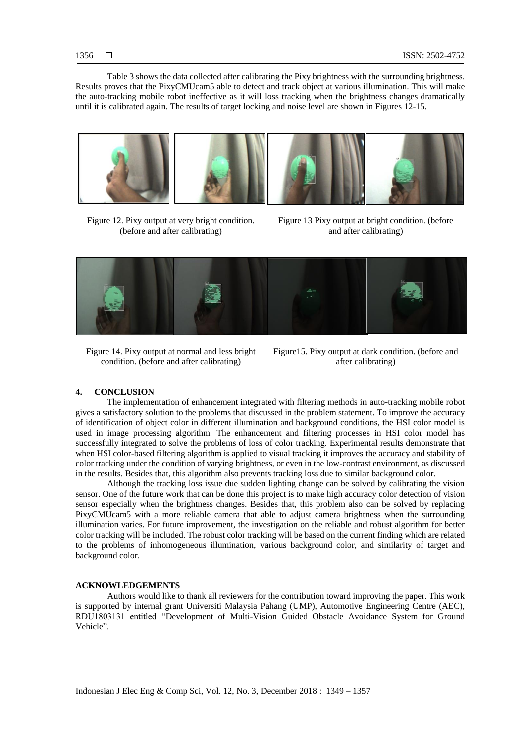Table 3 shows the data collected after calibrating the Pixy brightness with the surrounding brightness. Results proves that the PixyCMUcam5 able to detect and track object at various illumination. This will make the auto-tracking mobile robot ineffective as it will loss tracking when the brightness changes dramatically until it is calibrated again. The results of target locking and noise level are shown in Figures 12-15.



Figure 12. Pixy output at very bright condition. (before and after calibrating)

Figure 13 Pixy output at bright condition. (before and after calibrating)



Figure 14. Pixy output at normal and less bright condition. (before and after calibrating)

Figure15. Pixy output at dark condition. (before and after calibrating)

### **4. CONCLUSION**

The implementation of enhancement integrated with filtering methods in auto-tracking mobile robot gives a satisfactory solution to the problems that discussed in the problem statement. To improve the accuracy of identification of object color in different illumination and background conditions, the HSI color model is used in image processing algorithm. The enhancement and filtering processes in HSI color model has successfully integrated to solve the problems of loss of color tracking. Experimental results demonstrate that when HSI color-based filtering algorithm is applied to visual tracking it improves the accuracy and stability of color tracking under the condition of varying brightness, or even in the low-contrast environment, as discussed in the results. Besides that, this algorithm also prevents tracking loss due to similar background color.

Although the tracking loss issue due sudden lighting change can be solved by calibrating the vision sensor. One of the future work that can be done this project is to make high accuracy color detection of vision sensor especially when the brightness changes. Besides that, this problem also can be solved by replacing PixyCMUcam5 with a more reliable camera that able to adjust camera brightness when the surrounding illumination varies. For future improvement, the investigation on the reliable and robust algorithm for better color tracking will be included. The robust color tracking will be based on the current finding which are related to the problems of inhomogeneous illumination, various background color, and similarity of target and background color.

## **ACKNOWLEDGEMENTS**

Authors would like to thank all reviewers for the contribution toward improving the paper. This work is supported by internal grant Universiti Malaysia Pahang (UMP), Automotive Engineering Centre (AEC), RDU1803131 entitled "Development of Multi-Vision Guided Obstacle Avoidance System for Ground Vehicle".